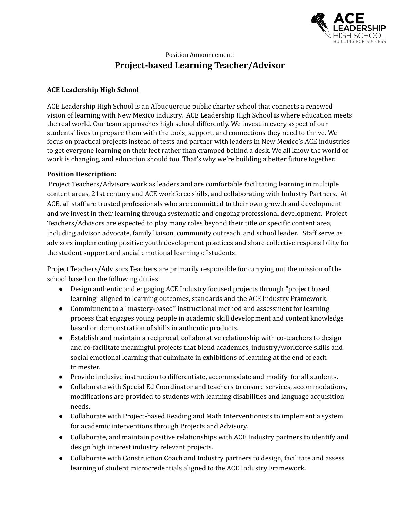

# Position Announcement: **Project-based Learning Teacher/Advisor**

### **ACE Leadership High School**

ACE Leadership High School is an Albuquerque public charter school that connects a renewed vision of learning with New Mexico industry. ACE Leadership High School is where education meets the real world. Our team approaches high school differently. We invest in every aspect of our students' lives to prepare them with the tools, support, and connections they need to thrive. We focus on practical projects instead of tests and partner with leaders in New Mexico's ACE industries to get everyone learning on their feet rather than cramped behind a desk. We all know the world of work is changing, and education should too. That's why we're building a better future together.

#### **Position Description:**

Project Teachers/Advisors work as leaders and are comfortable facilitating learning in multiple content areas, 21st century and ACE workforce skills, and collaborating with Industry Partners. At ACE, all staff are trusted professionals who are committed to their own growth and development and we invest in their learning through systematic and ongoing professional development. Project Teachers/Advisors are expected to play many roles beyond their title or specific content area, including advisor, advocate, family liaison, community outreach, and school leader. Staff serve as advisors implementing positive youth development practices and share collective responsibility for the student support and social emotional learning of students.

Project Teachers/Advisors Teachers are primarily responsible for carrying out the mission of the school based on the following duties:

- Design authentic and engaging ACE Industry focused projects through "project based learning" aligned to learning outcomes, standards and the ACE Industry Framework.
- Commitment to a "mastery-based" instructional method and assessment for learning process that engages young people in academic skill development and content knowledge based on demonstration of skills in authentic products.
- Establish and maintain a reciprocal, collaborative relationship with co-teachers to design and co-facilitate meaningful projects that blend academics, industry/workforce skills and social emotional learning that culminate in exhibitions of learning at the end of each trimester.
- Provide inclusive instruction to differentiate, accommodate and modify for all students.
- Collaborate with Special Ed Coordinator and teachers to ensure services, accommodations, modifications are provided to students with learning disabilities and language acquisition needs.
- Collaborate with Project-based Reading and Math Interventionists to implement a system for academic interventions through Projects and Advisory.
- Collaborate, and maintain positive relationships with ACE Industry partners to identify and design high interest industry relevant projects.
- Collaborate with Construction Coach and Industry partners to design, facilitate and assess learning of student microcredentials aligned to the ACE Industry Framework.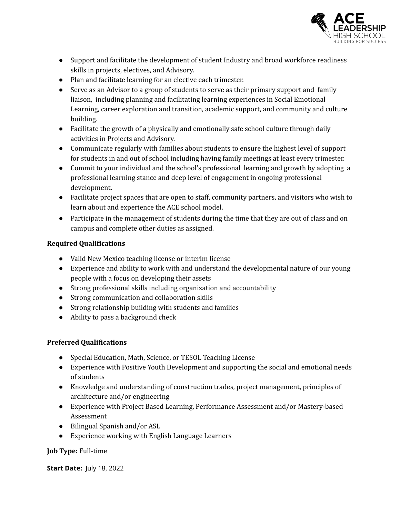

- Support and facilitate the development of student Industry and broad workforce readiness skills in projects, electives, and Advisory.
- Plan and facilitate learning for an elective each trimester.
- Serve as an Advisor to a group of students to serve as their primary support and family liaison, including planning and facilitating learning experiences in Social Emotional Learning, career exploration and transition, academic support, and community and culture building.
- Facilitate the growth of a physically and emotionally safe school culture through daily activities in Projects and Advisory.
- Communicate regularly with families about students to ensure the highest level of support for students in and out of school including having family meetings at least every trimester.
- Commit to your individual and the school's professional learning and growth by adopting a professional learning stance and deep level of engagement in ongoing professional development.
- Facilitate project spaces that are open to staff, community partners, and visitors who wish to learn about and experience the ACE school model.
- Participate in the management of students during the time that they are out of class and on campus and complete other duties as assigned.

#### **Required Qualifications**

- Valid New Mexico teaching license or interim license
- Experience and ability to work with and understand the developmental nature of our young people with a focus on developing their assets
- Strong professional skills including organization and accountability
- Strong communication and collaboration skills
- Strong relationship building with students and families
- Ability to pass a background check

## **Preferred Qualifications**

- Special Education, Math, Science, or TESOL Teaching License
- Experience with Positive Youth Development and supporting the social and emotional needs of students
- Knowledge and understanding of construction trades, project management, principles of architecture and/or engineering
- Experience with Project Based Learning, Performance Assessment and/or Mastery-based Assessment
- Bilingual Spanish and/or ASL
- Experience working with English Language Learners

## **Job Type:** Full-time

**Start Date:** July 18, 2022